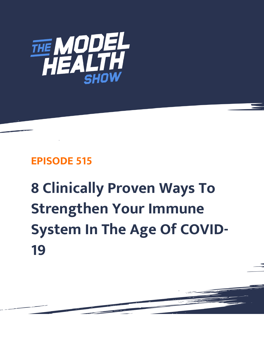

## **EPISODE 515**

## **8 Clinically Proven Ways To Strengthen Your Immune System In The Age Of COVID-19**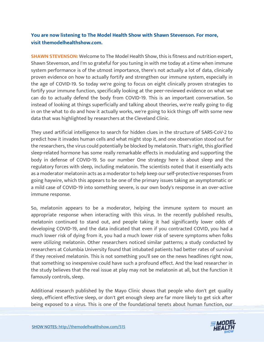## **You are now listening to The Model Health Show with Shawn Stevenson. For more, visit themodelhealthshow.com.**

**SHAWN STEVENSON:** Welcome to The Model Health Show, this is fitness and nutrition expert, Shawn Stevenson, and I'm so grateful for you tuning in with me today at a time when immune system performance is of the utmost importance, there's not actually a lot of data, clinically proven evidence on how to actually fortify and strengthen our immune system, especially in the age of COVID-19. So today we're going to focus on eight clinically proven strategies to fortify your immune function, specifically looking at the peer-reviewed evidence on what we can do to actually defend the body from COVID-19. This is an important conversation. So instead of looking at things superficially and talking about theories, we're really going to dig in on the what to do and how it actually works, we're going to kick things off with some new data that was highlighted by researchers at the Cleveland Clinic.

They used artificial intelligence to search for hidden clues in the structure of SARS-CoV-2 to predict how it invades human cells and what might stop it, and one observation stood out for the researchers, the virus could potentially be blocked by melatonin. That's right, this glorified sleep-related hormone has some really remarkable effects in modulating and supporting the body in defense of COVID-19. So our number One strategy here is about sleep and the regulatory forces with sleep, including melatonin. The scientists noted that it essentially acts as a moderator melatonin acts as a moderator to help keep our self-protective responses from going haywire, which this appears to be one of the primary issues taking an asymptomatic or a mild case of COVID-19 into something severe, is our own body's response in an over-active immune response.

So, melatonin appears to be a moderator, helping the immune system to mount an appropriate response when interacting with this virus. In the recently published results, melatonin continued to stand out, and people taking it had significantly lower odds of developing COVID-19, and the data indicated that even if you contracted COVID, you had a much lower risk of dying from it, you had a much lower risk of severe symptoms when folks were utilizing melatonin. Other researchers noticed similar patterns; a study conducted by researchers at Columbia University found that intubated patients had better rates of survival if they received melatonin. This is not something you'll see on the news headlines right now, that something so inexpensive could have such a profound effect. And the lead researcher in the study believes that the real issue at play may not be melatonin at all, but the function it famously controls, sleep.

Additional research published by the Mayo Clinic shows that people who don't get quality sleep, efficient effective sleep, or don't get enough sleep are far more likely to get sick after being exposed to a virus. This is one of the foundational tenets about human function, our

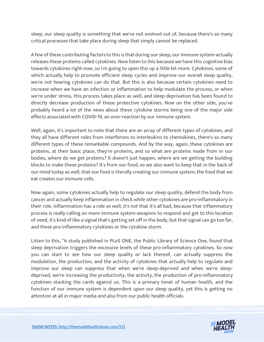sleep, our sleep quality is something that we've not evolved out of, because there's so many critical processes that take place during sleep that simply cannot be replaced.

A few of these contributing factors to this is that during our sleep, our immune system actually releases these proteins called cytokines. Now listen to this because we have this cognitive bias towards cytokines right now, so I'm going to open this up a little bit more. Cytokines, some of which actually help to promote efficient sleep cycles and improve our overall sleep quality, we're not hearing cytokines can do that. But this is also because certain cytokines need to increase when we have an infection or inflammation to help modulate the process, or when we're under stress, this process takes place as well, and sleep deprivation has been found to directly decrease production of these protective cytokines. Now on the other side, you've probably heard a lot of the news about these cytokine storms being one of the major side effects associated with COVID-19, an over-reaction by our immune system.

Well, again, it's important to note that there are an array of different types of cytokines, and they all have different roles from interferons to interleukins to chemokines, there's so many different types of these remarkable compounds. And by the way, again, these cytokines are proteins, at their basic place, they're proteins, and so what are proteins made from in our bodies, where do we get proteins? It doesn't just happen, where are we getting the building blocks to make these proteins? It's from our food, so we also want to keep that in the back of our mind today as well, that our food is literally creating our immune system, the food that we eat creates our immune cells.

Now again, some cytokines actually help to regulate our sleep quality, defend the body from cancer and actually keep inflammation in check while other cytokines are pro-inflammatory in their role. Inflammation has a role as well, it's not that it's all bad, because that inflammatory process is really calling on more immune system weapons to respond and get to this location of need, it's kind of like a signal that's getting set off in the body, but that signal can go too far, and these pro-inflammatory cytokines or the cytokine storm.

Listen to this, "A study published in PLoS ONE, the Public Library of Science One, found that sleep deprivation triggers the excessive levels of these pro-inflammatory cytokines. So now you can start to see how our sleep quality or lack thereof, can actually suppress the modulation, the production, and the activity of cytokines that actually help to regulate and improve our sleep can suppress that when we're sleep-deprived and when we're sleepdeprived, we're increasing the productivity, the activity, the production of pro-inflammatory cytokines stacking the cards against us. This is a primary tenet of human health, and the function of our immune system is dependent upon our sleep quality, yet this is getting no attention at all in major media and also from our public health officials.

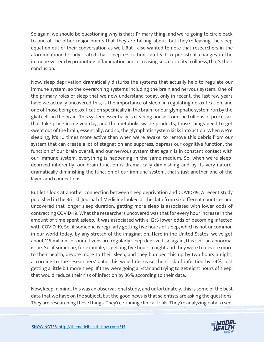So again, we should be questioning why is that? Primary thing, and we're going to circle back to one of the other major points that they are talking about, but they're leaving the sleep equation out of their conversation as well. But I also wanted to note that researchers in the aforementioned study stated that sleep restriction can lead to persistent changes in the immune system by promoting inflammation and increasing susceptibility to illness, that's their conclusion.

Now, sleep deprivation dramatically disturbs the systems that actually help to regulate our immune system, so the overarching systems including the brain and nervous system. One of the primary roles of sleep that we now understand today, only in recent, the last few years have we actually uncovered this, is the importance of sleep, in regulating detoxification, and one of those being detoxification specifically in the brain for our glymphatic system run by the glial cells in the brain. This system essentially is cleaning house from the trillions of processes that take place in a given day, and the metabolic waste products, those things need to get swept out of the brain, essentially. And so, the glymphatic system kicks into action. When we're sleeping, it's 10 times more active than when we're awake, to remove this debris from our system that can create a lot of stagnation and suppress, depress our cognitive function, the function of our brain overall, and our nervous system that again is in constant contact with our immune system, everything is happening in the same medium. So, when we're sleepdeprived inherently, our brain function is dramatically diminishing and by its very nature, dramatically diminishing the function of our immune system, that's just another one of the layers and connections.

But let's look at another connection between sleep deprivation and COVID-19. A recent study published in the British Journal of Medicine looked at the data from six different countries and uncovered that longer sleep duration, getting more sleep is associated with lower odds of contracting COVID-19. What the researchers uncovered was that for every hour increase in the amount of time spent asleep, it was associated with a 12% lower odds of becoming infected with COVID-19. So, if someone is regularly getting five hours of sleep, which is not uncommon in our world today, by any stretch of the imagination. Here in the United States, we've got about 115 millions of our citizens are regularly sleep-deprived, so again, this isn't an abnormal issue. So, if someone, for example, is getting five hours a night and they were to devote more to their health, devote more to their sleep, and they bumped this up by two hours a night, according to the researchers' data, this would decrease their risk of infection by 24%, just getting a little bit more sleep. If they were going all-star and trying to get eight hours of sleep, that would reduce their risk of infection by 36% according to their data.

Now, keep in mind, this was an observational study, and unfortunately, this is some of the best data that we have on the subject, but the good news is that scientists are asking the questions. They are researching these things. They're running clinical trials. They're analyzing data to see,

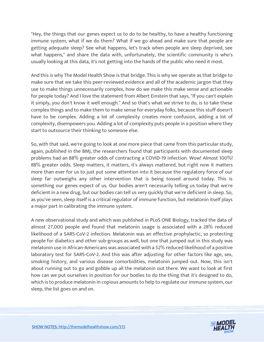"Hey, the things that our genes expect us to do to be healthy, to have a healthy functioning immune system, what if we do them? What if we go ahead and make sure that people are getting adequate sleep? See what happens, let's track when people are sleep deprived, see what happens," and share the data with, unfortunately, the scientific community is who's usually looking at this data, it's not getting into the hands of the public who need it most.

And this is why The Model Health Show is that bridge. This is why we operate as that bridge to make sure that we take this peer-reviewed evidence and all of the academic jargon that they use to make things unnecessarily complex, how do we make this make sense and actionable for people today? And I love the statement from Albert Einstein that says, "If you can't explain it simply, you don't know it well enough." And so that's what we strive to do, is to take these complex things and to make them to make sense for everyday folks, because this stuff doesn't have to be complex. Adding a lot of complexity creates more confusion, adding a lot of complexity, disempowers you. Adding a lot of complexity puts people in a position where they start to outsource their thinking to someone else.

So, with that said, we're going to look at one more piece that came from this particular study, again, published in the BMJ, the researchers found that participants with documented sleep problems had an 88% greater odds of contracting a COVID-19 infection. Wow! Almost 100%! 88% greater odds. Sleep matters, it matters, it's always mattered, but right now it matters more than ever for us to just put some attention into it because the regulatory force of our sleep far outweighs any other intervention that is being tossed around today. This is something our genes expect of us. Our bodies aren't necessarily telling us today that we're deficient in a new drug, but our bodies can tell us very quickly that we're deficient in sleep. So, as you've seen, sleep itself is a critical regulator of immune function, but melatonin itself plays a major part in calibrating the immune system.

A new observational study and which was published in PLoS ONE Biology, tracked the data of almost 27,000 people and found that melatonin usage is associated with a 28% reduced likelihood of a SARS-CoV-2 infection. Melatonin was an effective prophylactic, so protecting people for diabetics and other sub-groups as well, but one that jumped out in this study was melatonin use in African-Americans was associated with a 52% reduced likelihood of a positive laboratory test for SARS-CoV-2. And this was after adjusting for other factors like age, sex, smoking history, and various disease comorbidities, melatonin jumped out. Now, this isn't about running out to go and gobble up all the melatonin out there. We want to look at first how can we put ourselves in position for our bodies to do the thing that it's designed to do, which is to produce melatonin in copious amounts to help to regulate our immune system, our sleep, the list goes on and on.

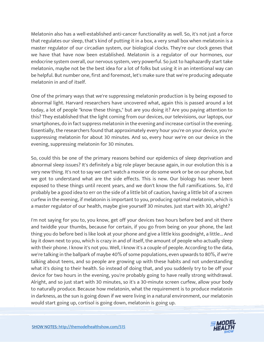Melatonin also has a well-established anti-cancer functionality as well. So, it's not just a force that regulates our sleep, that's kind of putting it in a box, a very small box when melatonin is a master regulator of our circadian system, our biological clocks. They're our clock genes that we have that have now been established. Melatonin is a regulator of our hormones, our endocrine system overall, our nervous system, very powerful. So just to haphazardly start take melatonin, maybe not be the best idea for a lot of folks but using it in an intentional way can be helpful. But number one, first and foremost, let's make sure that we're producing adequate melatonin in and of itself.

One of the primary ways that we're suppressing melatonin production is by being exposed to abnormal light. Harvard researchers have uncovered what, again this is passed around a lot today, a lot of people "know these things," but are you doing it? Are you paying attention to this? They established that the light coming from our devices, our televisions, our laptops, our smartphones, do in fact suppress melatonin in the evening and increase cortisol in the evening. Essentially, the researchers found that approximately every hour you're on your device, you're suppressing melatonin for about 30 minutes. And so, every hour we're on our device in the evening, suppressing melatonin for 30 minutes.

So, could this be one of the primary reasons behind our epidemics of sleep deprivation and abnormal sleep issues? It's definitely a big role player because again, in our evolution this is a very new thing. It's not to say we can't watch a movie or do some work or be on our phone, but we got to understand what are the side effects. This is new. Our biology has never been exposed to these things until recent years, and we don't know the full ramifications. So, it'd probably be a good idea to err on the side of a little bit of caution, having a little bit of a screen curfew in the evening, if melatonin is important to you, producing optimal melatonin, which is a master regulator of our health, maybe give yourself 30 minutes. Just start with 30, alright?

I'm not saying for you to, you know, get off your devices two hours before bed and sit there and twiddle your thumbs, because for certain, if you go from being on your phone, the last thing you do before bed is like look at your phone and give a little kiss goodnight, a little... And lay it down next to you, which is crazy in and of itself, the amount of people who actually sleep with their phone. I know it's not you. Well, I know it's a couple of people. According to the data, we're talking in the ballpark of maybe 40% of some populations, even upwards to 80%, if we're talking about teens, and so people are growing up with these habits and not understanding what it's doing to their health. So instead of doing that, and you suddenly try to be off your device for two hours in the evening, you're probably going to have really strong withdrawal. Alright, and so just start with 30 minutes, so it's a 30-minute screen curfew, allow your body to naturally produce. Because how melatonin, what the requirement is to produce melatonin in darkness, as the sun is going down if we were living in a natural environment, our melatonin would start going up, cortisol is going down, melatonin is going up.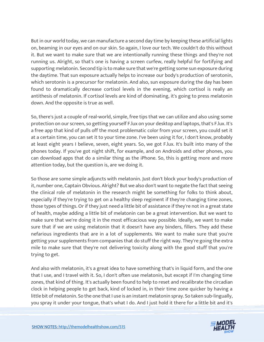But in our world today, we can manufacture a second day time by keeping these artificial lights on, beaming in our eyes and on our skin. So again, I love our tech. We couldn't do this without it. But we want to make sure that we are intentionally running these things and they're not running us. Alright, so that's one is having a screen curfew, really helpful for fortifying and supporting melatonin. Second tip is to make sure that we're getting some sun exposure during the daytime. That sun exposure actually helps to increase our body's production of serotonin, which serotonin is a precursor for melatonin. And also, sun exposure during the day has been found to dramatically decrease cortisol levels in the evening, which cortisol is really an antithesis of melatonin. If cortisol levels are kind of dominating, it's going to press melatonin down. And the opposite is true as well.

So, there's just a couple of real-world, simple, free tips that we can utilize and also using some protection on our screen, so getting yourself F.lux on your desktop and laptops, that's F.lux. It's a free app that kind of pulls off the most problematic color from your screen, you could set it at a certain time, you can set it to your time zone. I've been using it for, I don't know, probably at least eight years I believe, seven, eight years. So, we got F.lux. It's built into many of the phones today. If you've got night shift, for example, and on Androids and other phones, you can download apps that do a similar thing as the iPhone. So, this is getting more and more attention today, but the question is, are we doing it.

So those are some simple adjuncts with melatonin. Just don't block your body's production of it, number one, Captain Obvious. Alright? But we also don't want to negate the fact that seeing the clinical role of melatonin in the research might be something for folks to think about, especially if they're trying to get on a healthy sleep regiment if they're changing time zones, those types of things. Or if they just need a little bit of assistance if they're not in a great state of health, maybe adding a little bit of melatonin can be a great intervention. But we want to make sure that we're doing it in the most efficacious way possible. Ideally, we want to make sure that if we are using melatonin that it doesn't have any binders, fillers. They add these nefarious ingredients that are in a lot of supplements. We want to make sure that you're getting your supplements from companies that do stuff the right way. They're going the extra mile to make sure that they're not delivering toxicity along with the good stuff that you're trying to get.

And also with melatonin, it's a great idea to have something that's in liquid form, and the one that I use, and I travel with it. So, I don't often use melatonin, but except if I'm changing time zones, that kind of thing. It's actually been found to help to reset and recalibrate the circadian clock in helping people to get back, kind of locked in, in their time zone quicker by having a little bit of melatonin. So the one that I use is an instant melatonin spray. So taken sub-lingually, you spray it under your tongue, that's what I do. And I just hold it there for a little bit and it's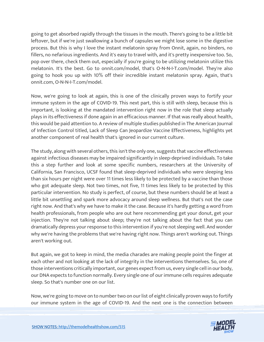going to get absorbed rapidly through the tissues in the mouth. There's going to be a little bit leftover, but if we're just swallowing a bunch of capsules we might lose some in the digestive process. But this is why I love the instant melatonin spray from Onnit, again, no binders, no fillers, no nefarious ingredients. And it's easy to travel with, and it's pretty inexpensive too. So, pop over there, check them out, especially if you're going to be utilizing melatonin utilize this melatonin. It's the best. Go to onnit.com/model, that's O-N-N-I-T.com/model. They're also going to hook you up with 10% off their incredible instant melatonin spray. Again, that's onnit.com, O-N-N-I-T.com/model.

Now, we're going to look at again, this is one of the clinically proven ways to fortify your immune system in the age of COVID-19. This next part, this is still with sleep, because this is important, is looking at the mandated intervention right now in the role that sleep actually plays in its effectiveness if done again in an efficacious manner. If that was really about health, this would be paid attention to. A review of multiple studies published in The American Journal of Infection Control titled, Lack of Sleep Can Jeopardize Vaccine Effectiveness, highlights yet another component of real health that's ignored in our current culture.

The study, along with several others, this isn't the only one, suggests that vaccine effectiveness against infectious diseases may be impaired significantly in sleep-deprived individuals. To take this a step further and look at some specific numbers, researchers at the University of California, San Francisco, UCSF found that sleep-deprived individuals who were sleeping less than six hours per night were over 11 times less likely to be protected by a vaccine than those who got adequate sleep. Not two times, not five, 11 times less likely to be protected by this particular intervention. No study is perfect, of course, but these numbers should be at least a little bit unsettling and spark more advocacy around sleep wellness. But that's not the case right now. And that's why we have to make it the case. Because it's hardly getting a word from health professionals, from people who are out here recommending get your donut, get your injection. They're not talking about sleep; they're not talking about the fact that you can dramatically depress your response to this intervention if you're not sleeping well. And wonder why we're having the problems that we're having right now. Things aren't working out. Things aren't working out.

But again, we got to keep in mind, the media charades are making people point the finger at each other and not looking at the lack of integrity in the interventions themselves. So, one of those interventions critically important, our genes expect from us, every single cell in our body, our DNA expects to function normally. Every single one of our immune cells requires adequate sleep. So that's number one on our list.

Now, we're going to move on to number two on our list of eight clinically proven ways to fortify our immune system in the age of COVID-19. And the next one is the connection between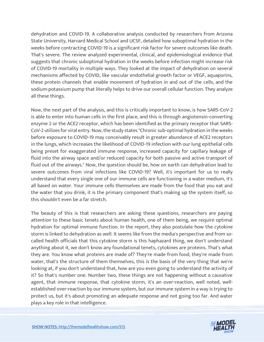dehydration and COVID-19. A collaborative analysis conducted by researchers from Arizona State University, Harvard Medical School and UCSF, detailed how suboptimal hydration in the weeks before contracting COVID-19 is a significant risk factor for severe outcomes like death. That's severe. The review analyzed experimental, clinical, and epidemiological evidence that suggests that chronic suboptimal hydration in the weeks before infection might increase risk of COVID-19 mortality in multiple ways. They looked at the impact of dehydration on several mechanisms affected by COVID, like vascular endothelial growth factor or VEGF, aquaporins, these protein channels that enable movement of hydration in and out of the cells, and the sodium-potassium pump that literally helps to drive our overall cellular function. They analyze all these things.

Now, the next part of the analysis, and this is critically important to know, is how SARS-CoV-2 is able to enter into human cells in the first place, and this is through angiotensin-converting enzyme 2 or the ACE2 receptor, which has been identified as the primary receptor that SARS-CoV-2 utilizes for viral entry. Now, the study states "Chronic sub-optimal hydration in the weeks before exposure to COVID-19 may conceivably result in greater abundance of ACE2 receptors in the lungs, which increases the likelihood of COVID-19 infection with our lung epithelial cells being preset for exaggerated immune response, increased capacity for capillary leakage of fluid into the airway space and/or reduced capacity for both passive and active transport of fluid out of the airways." Now, the question should be, how on earth can dehydration lead to severe outcomes from viral infections like COVID-19? Well, it's important for us to really understand that every single one of our immune cells are functioning in a water medium, it's all based on water. Your immune cells themselves are made from the food that you eat and the water that you drink, it is the primary component that's making up the system itself, so this shouldn't even be a far stretch.

The beauty of this is that researchers are asking these questions, researchers are paying attention to these basic tenets about human health, one of them being, we require optimal hydration for optimal immune function. In the report, they also postulate how the cytokine storm is linked to dehydration as well. It seems like from the media's perspective and from socalled health officials that this cytokine storm is this haphazard thing, we don't understand anything about it, we don't know any foundational tenets, cytokines are proteins. That's what they are. You know what proteins are made of? They're made from food, they're made from water, that's the structure of them themselves, this is the basis of the very thing that we're looking at, if you don't understand that, how are you even going to understand the activity of it? So that's number one. Number two, these things are not happening without a causative agent, that immune response, that cytokine storm, it's an over-reaction, well noted, wellestablished over-reaction by our immune system, but our immune system in a way is trying to protect us, but it's about promoting an adequate response and not going too far. And water plays a key role in that intelligence.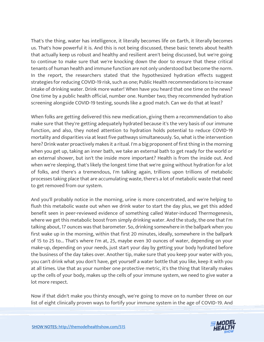That's the thing, water has intelligence, it literally becomes life on Earth, it literally becomes us. That's how powerful it is. And this is not being discussed, these basic tenets about health that actually keep us robust and healthy and resilient aren't being discussed, but we're going to continue to make sure that we're knocking down the door to ensure that these critical tenants of human health and immune function are not only understood but become the norm. In the report, the researchers stated that the hypothesized hydration effects suggest strategies for reducing COVID-19 risk, such as one; Public Health recommendations to increase intake of drinking water. Drink more water! When have you heard that one time on the news? One time by a public health official, number one. Number two; they recommended hydration screening alongside COVID-19 testing, sounds like a good match. Can we do that at least?

When folks are getting delivered this new medication, giving them a recommendation to also make sure that they're getting adequately hydrated because it's the very basis of our immune function, and also, they noted attention to hydration holds potential to reduce COVID-19 mortality and disparities via at least five pathways simultaneously. So, what is the intervention here? Drink water proactively makes it a ritual. I'm a big proponent of first thing in the morning when you get up, taking an inner bath, we take an external bath to get ready for the world or an external shower, but isn't the inside more important? Health is from the inside out. And when we're sleeping, that's likely the longest time that we're going without hydration for a lot of folks, and there's a tremendous, I'm talking again, trillions upon trillions of metabolic processes taking place that are accumulating waste, there's a lot of metabolic waste that need to get removed from our system.

And you'll probably notice in the morning, urine is more concentrated, and we're helping to flush this metabolic waste out when we drink water to start the day plus, we get this added benefit seen in peer-reviewed evidence of something called Water-induced Thermogenesis, where we get this metabolic boost from simply drinking water. And the study, the one that I'm talking about, 17 ounces was that barometer. So, drinking somewhere in the ballpark when you first wake up in the morning, within that first 20 minutes, ideally, somewhere in the ballpark of 15 to 25 to... That's where I'm at, 25, maybe even 30 ounces of water, depending on your make-up, depending on your needs, just start your day by getting your body hydrated before the business of the day takes over. Another tip, make sure that you keep your water with you, you can't drink what you don't have, get yourself a water bottle that you like, keep it with you at all times. Use that as your number one protective metric, it's the thing that literally makes up the cells of your body, makes up the cells of your immune system, we need to give water a lot more respect.

Now if that didn't make you thirsty enough, we're going to move on to number three on our list of eight clinically proven ways to fortify your immune system in the age of COVID-19. And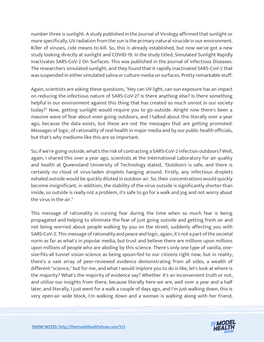number three is sunlight. A study published in the Journal of Virology affirmed that sunlight or more specifically, UV radiation from the sun is the primary natural virucide in our environment. Killer of viruses, cide means to kill. So, this is already established, but now we've got a new study looking directly at sunlight and COVID-19. In the study titled, Simulated Sunlight Rapidly Inactivates SARS-CoV-2 On Surfaces. This was published in the Journal of Infectious Diseases. The researchers simulated sunlight, and they found that it rapidly inactivated SARS-CoV-2 that was suspended in either simulated saliva or culture media on surfaces. Pretty remarkable stuff.

Again, scientists are asking these questions, "Hey can UV light, can sun exposure has an impact on reducing the infectious nature of SARS-CoV-2? Is there anything else? Is there something helpful in our environment against this thing that has created so much unrest in our society today?" Now, getting sunlight would require you to go outside. Alright now there's been a massive wave of fear about even going outdoors, and I talked about this literally over a year ago, because the data exists, but these are not the messages that are getting promoted. Messages of logic, of rationality of real health in major media and by our public health officials, but that's why mediums like this are so important.

So, if we're going outside, what's the risk of contracting a SARS-CoV-2 infection outdoors? Well, again, I shared this over a year ago, scientists at the International Laboratory for air quality and health at Queensland University of Technology stated, "Outdoors is safe, and there is certainly no cloud of virus-laden droplets hanging around. Firstly, any infectious droplets exhaled outside would be quickly diluted in outdoor air. So, their concentrations would quickly become insignificant, in addition, the stability of the virus outside is significantly shorter than inside, so outside is really not a problem, it's safe to go for a walk and jog and not worry about the virus in the air."

This message of rationality in curving fear during the time when so much fear is being propagated and helping to eliminate the fear of just going outside and getting fresh air and not being worried about people walking by you on the street, suddenly affecting you with SARS-CoV-2. This message of rationality and peace and logic, again, it's not a part of the societal norm as far as what's in popular media, but trust and believe there are millions upon millions upon millions of people who are abiding by this science. There's only one type of vanilla, onesize-fits-all tunnel vision science as being spoon-fed to our citizens right now, but in reality, there's a vast array of peer-reviewed evidence demonstrating from all sides, a wealth of different "science," but for me, and what I would implore you to do is like, let's look at where is the majority? What's the majority of evidence say? Whether it's an inconvenient truth or not, and utilize our insights from there, because literally here we are, well over a year and a half later, and literally, I just went for a walk a couple of days ago, and I'm just walking down, this is very open-air wide block, I'm walking down and a woman is walking along with her friend,

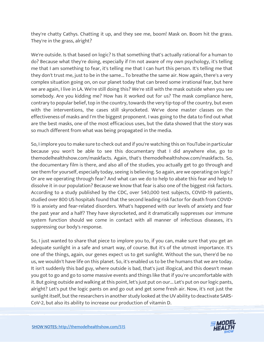they're chatty Cathys. Chatting it up, and they see me, boom! Mask on. Boom hit the grass. They're in the grass, alright?

We're outside. Is that based on logic? Is that something that's actually rational for a human to do? Because what they're doing, especially if I'm not aware of my own psychology, it's telling me that I am something to fear, it's telling me that I can hurt this person. It's telling me that they don't trust me, just to be in the same... To breathe the same air. Now again, there's a very complex situation going on, on our planet today that can breed some irrational fear, but here we are again, I live in LA. We're still doing this? We're still with the mask outside when you see somebody. Are you kidding me? How has it worked out for us? The mask compliance here, contrary to popular belief, top in the country, towards the very tip-top of the country, but even with the interventions, the cases still skyrocketed. We've done master classes on the effectiveness of masks and I'm the biggest proponent. I was going to the data to find out what are the best masks, one of the most efficacious uses, but the data showed that the story was so much different from what was being propagated in the media.

So, I implore you to make sure to check out and if you're watching this on YouTube in particular because you won't be able to see this documentary that I did anywhere else, go to themodelhealthshow.com/maskfacts. Again, that's themodelhealthshow.com/maskfacts. So, the documentary film is there, and also all of the studies, you actually get to go through and see them for yourself, especially today, seeing is believing. So again, are we operating on logic? Or are we operating through fear? And what can we do to help to abate this fear and help to dissolve it in our population? Because we know that fear is also one of the biggest risk factors. According to a study published by the CDC, over 540,000 test subjects, COVID-19 patients, studied over 800 US hospitals found that the second leading risk factor for death from COVID-19 is anxiety and fear-related disorders. What's happened with our levels of anxiety and fear the past year and a half? They have skyrocketed, and it dramatically suppresses our immune system function should we come in contact with all manner of infectious diseases, it's suppressing our body's response.

So, I just wanted to share that piece to implore you to, if you can, make sure that you get an adequate sunlight in a safe and smart way, of course. But it's of the utmost importance. It's one of the things, again, our genes expect us to get sunlight. Without the sun, there'd be no us, we wouldn't have life on this planet. So, it's enabled us to be the humans that we are today. It isn't suddenly this bad guy, where outside is bad, that's just illogical, and this doesn't mean you got to go and go to some massive events and things like that if you're uncomfortable with it. But going outside and walking at this point, let's just put on our... Let's put on our logic pants, alright? Let's put the logic pants on and go out and get some fresh air. Now, it's not just the sunlight itself, but the researchers in another study looked at the UV ability to deactivate SARS-CoV-2, but also its ability to increase our production of vitamin D.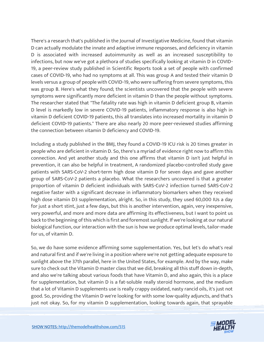There's a research that's published in the Journal of Investigative Medicine, found that vitamin D can actually modulate the innate and adaptive immune responses, and deficiency in vitamin D is associated with increased autoimmunity as well as an increased susceptibility to infections, but now we've got a plethora of studies specifically looking at vitamin D in COVID-19, a peer-review study published in Scientific Reports took a set of people with confirmed cases of COVID-19, who had no symptoms at all. This was group A and tested their vitamin D levels versus a group of people with COVID-19, who were suffering from severe symptoms, this was group B. Here's what they found; the scientists uncovered that the people with severe symptoms were significantly more deficient in vitamin D than the people without symptoms. The researcher stated that "The fatality rate was high in vitamin D deficient group B, vitamin D level is markedly low in severe COVID-19 patients, inflammatory response is also high in vitamin D deficient COVID-19 patients, this all translates into increased mortality in vitamin D deficient COVID-19 patients." There are also nearly 20 more peer-reviewed studies affirming the connection between vitamin D deficiency and COVID-19.

Including a study published in the BMJ, they found a COVID-19 ICU risk is 20 times greater in people who are deficient in vitamin D. So, there's a myriad of evidence right now to affirm this connection. And yet another study and this one affirms that vitamin D isn't just helpful in prevention, it can also be helpful in treatment, A randomized placebo-controlled study gave patients with SARS-CoV-2 short-term high dose vitamin D for seven days and gave another group of SARS-CoV-2 patients a placebo. What the researchers uncovered is that a greater proportion of vitamin D deficient individuals with SARS-CoV-2 infection turned SARS-CoV-2 negative faster with a significant decrease in inflammatory biomarkers when they received high dose vitamin D3 supplementation, alright. So, in this study, they used 60,000 IUs a day for just a short stint, just a few days, but this is another intervention, again, very inexpensive, very powerful, and more and more data are affirming its effectiveness, but I want to point us back to the beginning of this which is first and foremost sunlight. If we're looking at our natural biological function, our interaction with the sun is how we produce optimal levels, tailor-made for us, of vitamin D.

So, we do have some evidence affirming some supplementation. Yes, but let's do what's real and natural first and if we're living in a position where we're not getting adequate exposure to sunlight above the 37th parallel, here in the United States, for example. And by the way, make sure to check out the Vitamin D master class that we did, breaking all this stuff down in-depth, and also we're talking about various foods that have Vitamin D, and also again, this is a place for supplementation, but vitamin D is a fat-soluble really steroid hormone, and the medium that a lot of Vitamin D supplements use is really crappy oxidated, nasty rancid oils, it's just not good. So, providing the Vitamin D we're looking for with some low-quality adjuncts, and that's just not okay. So, for my vitamin D supplementation, looking towards again, that sprayable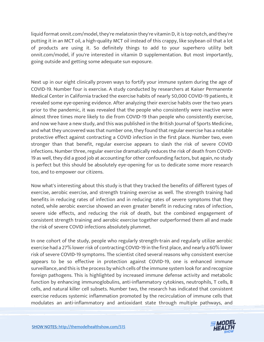liquid format onnit.com/model, they're melatonin they're vitamin D, it is top-notch, and they're putting it in an MCT oil, a high-quality MCT oil instead of this crappy, like soybean oil that a lot of products are using it. So definitely things to add to your superhero utility belt onnit.com/model, if you're interested in vitamin D supplementation. But most importantly, going outside and getting some adequate sun exposure.

Next up in our eight clinically proven ways to fortify your immune system during the age of COVID-19. Number four is exercise. A study conducted by researchers at Kaiser Permanente Medical Center in California tracked the exercise habits of nearly 50,000 COVID-19 patients, it revealed some eye-opening evidence. After analyzing their exercise habits over the two years prior to the pandemic, it was revealed that the people who consistently were inactive were almost three times more likely to die from COVID-19 than people who consistently exercise, and now we have a new study, and this was published in the British Journal of Sports Medicine, and what they uncovered was that number one, they found that regular exercise has a notable protective effect against contracting a COVID infection in the first place. Number two, even stronger than that benefit, regular exercise appears to slash the risk of severe COVID infections. Number three, regular exercise dramatically reduces the risk of death from COVID-19 as well, they did a good job at accounting for other confounding factors, but again, no study is perfect but this should be absolutely eye-opening for us to dedicate some more research too, and to empower our citizens.

Now what's interesting about this study is that they tracked the benefits of different types of exercise, aerobic exercise, and strength training exercise as well. The strength training had benefits in reducing rates of infection and in reducing rates of severe symptoms that they noted, while aerobic exercise showed an even greater benefit in reducing rates of infection, severe side effects, and reducing the risk of death, but the combined engagement of consistent strength training and aerobic exercise together outperformed them all and made the risk of severe COVID infections absolutely plummet.

In one cohort of the study, people who regularly strength-train and regularly utilize aerobic exercise had a 27% lower risk of contracting COVID-19 in the first place, and nearly a 60% lower risk of severe COVID-19 symptoms. The scientist cited several reasons why consistent exercise appears to be so effective in protection against COVID-19, one is enhanced immune surveillance, and this is the process by which cells of the immune system look for and recognize foreign pathogens. This is highlighted by increased immune defense activity and metabolic function by enhancing immunoglobulins, anti-inflammatory cytokines, neutrophils, T cells, B cells, and natural killer cell subsets. Number two, the research has indicated that consistent exercise reduces systemic inflammation promoted by the recirculation of immune cells that modulates an anti-inflammatory and antioxidant state through multiple pathways, and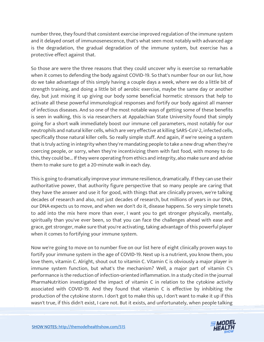number three, they found that consistent exercise improved regulation of the immune system and it delayed onset of immunosenescence, that's what seen most notably with advanced age is the degradation, the gradual degradation of the immune system, but exercise has a protective effect against that.

So those are were the three reasons that they could uncover why is exercise so remarkable when it comes to defending the body against COVID-19. So that's number four on our list, how do we take advantage of this simply having a couple days a week, where we do a little bit of strength training, and doing a little bit of aerobic exercise, maybe the same day or another day, but just mixing it up giving our body some beneficial hormetic stressors that help to activate all these powerful immunological responses and fortify our body against all manner of infectious diseases. And so one of the most notable ways of getting some of these benefits is seen in walking, this is via researchers at Appalachian State University found that simply going for a short walk immediately boost our immune cell parameters, most notably for our neutrophils and natural killer cells, which are very effective at killing SARS-CoV-2, infected cells, specifically those natural killer cells. So really simple stuff. And again, if we're seeing a system that is truly acting in integrity when they're mandating people to take a new drug when they're coercing people, or sorry, when they're incentivizing them with fast food, with money to do this, they could be... If they were operating from ethics and integrity, also make sure and advise them to make sure to get a 20-minute walk in each day.

This is going to dramatically improve your immune resilience, dramatically. If they can use their authoritative power, that authority figure perspective that so many people are caring that they have the answer and use it for good, with things that are clinically proven, we're talking decades of research and also, not just decades of research, but millions of years in our DNA, our DNA expects us to move, and when we don't do it, disease happens. So very simple tenets to add into the mix here more than ever, I want you to get stronger physically, mentally, spiritually than you've ever been, so that you can face the challenges ahead with ease and grace, get stronger, make sure that you're activating, taking advantage of this powerful player when it comes to fortifying your immune system.

Now we're going to move on to number five on our list here of eight clinically proven ways to fortify your immune system in the age of COVID-19. Next up is a nutrient, you know them, you love them, vitamin C. Alright, shout out to vitamin C. Vitamin C is obviously a major player in immune system function, but what's the mechanism? Well, a major part of vitamin C's performance is the reduction of infection-oriented inflammation. In a study cited in the journal PharmaNutrition investigated the impact of vitamin C in relation to the cytokine activity associated with COVID-19. And they found that vitamin C is effective by inhibiting the production of the cytokine storm. I don't got to make this up, I don't want to make it up if this wasn't true, if this didn't exist, I care not. But it exists, and unfortunately, when people talking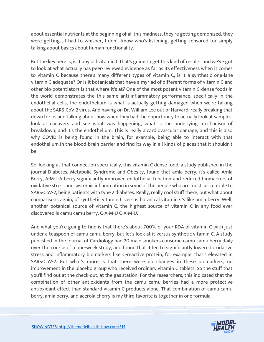about essential nutrients at the beginning of all this madness, they're getting demonized, they were getting... I had to whisper, I don't know who's listening, getting censored for simply talking about basics about human functionality.

But the key here is, is it any old vitamin C that's going to get this kind of results, and we've got to look at what actually has peer-reviewed evidence as far as its effectiveness when it comes to vitamin C because there's many different types of vitamin C, is it a synthetic one-lane vitamin C adequate? Or is it botanicals that have a myriad of different forms of vitamin C and other bio-potentiators is that where it's at? One of the most potent vitamin C-dense foods in the world demonstrates the this same anti-inflammatory performance, specifically in the endothelial cells, the endothelium is what is actually getting damaged when we're talking about the SARS-CoV-2 virus. And having on Dr. William Lee out of Harvard, really breaking that down for us and talking about how when they had the opportunity to actually look at samples, look at cadavers and see what was happening, what is the underlying mechanism of breakdown, and it's the endothelium. This is really a cardiovascular damage, and this is also why COVID is being found in the brain, for example, being able to interact with that endothelium in the blood-brain barrier and find its way in all kinds of places that it shouldn't be.

So, looking at that connection specifically, this vitamin C dense food, a study published in the journal Diabetes, Metabolic Syndrome and Obesity, found that amla berry, it's called Amla Berry, A-M-L-A berry significantly improved endothelial function and reduced biomarkers of oxidative stress and systemic inflammation in some of the people who are most susceptible to SARS-CoV-2, being patients with type 2 diabetes. Really, really cool stuff there, but what about comparisons again, of synthetic vitamin C versus botanical vitamin C's like amla berry. Well, another botanical source of vitamin C, the highest source of vitamin C in any food ever discovered is camu camu berry. C-A-M-U C-A-M-U.

And what you're going to find is that there's about 700% of your RDA of vitamin C with just under a teaspoon of camu camu berry, but let's look at it versus synthetic vitamin C. A study published in the Journal of Cardiology had 20 male smokers consume camu camu berry daily over the course of a one-week study, and found that it led to significantly lowered oxidative stress and inflammatory biomarkers like C-reactive protein, for example, that's elevated in SARS-CoV-2. But what's more is that there were no changes in these biomarkers, no improvement in the placebo group who received ordinary vitamin C tablets. So the stuff that you'll find out at the check-out, at the gas station. For the researchers, this indicated that the combination of other antioxidants from the camu camu berries had a more protective antioxidant effect than standard vitamin C products alone. That combination of camu camu berry, amla berry, and acerola cherry is my third favorite is together in one formula.

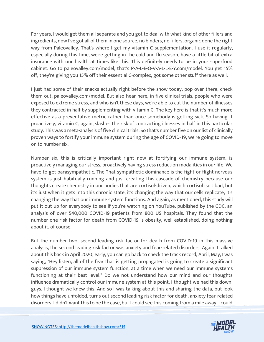For years, I would get them all separate and you got to deal with what kind of other fillers and ingredients, now I've got all of them in one source, no binders, no fillers, organic done the right way from Paleovalley. That's where I get my vitamin C supplementation. I use it regularly, especially during this time, we're getting in the cold and flu season, have a little bit of extra insurance with our health at times like this. This definitely needs to be in your superfood cabinet. Go to paleovalley.com/model, that's P-A-L-E-O-V-A-L-L-E-Y.com/model. You get 15% off, they're giving you 15% off their essential C-complex, got some other stuff there as well.

I just had some of their snacks actually right before the show today, pop over there, check them out, paleovalley.com/model. But also hear here, in five clinical trials, people who were exposed to extreme stress, and who isn't these days, we're able to cut the number of illnesses they contracted in half by supplementing with vitamin C. The key here is that it's much more effective as a preventative metric rather than once somebody is getting sick. So having it proactively, vitamin C, again, slashes the risk of contracting illnesses in half in this particular study. This was a meta-analysis of five clinical trials. So that's number five on our list of clinically proven ways to fortify your immune system during the age of COVID-19, we're going to move on to number six.

Number six, this is critically important right now at fortifying our immune system, is proactively managing our stress, proactively having stress reduction modalities in our life. We have to get parasympathetic. The That sympathetic dominance is the fight or flight nervous system is just habitually running and just creating this cascade of chemistry because our thoughts create chemistry in our bodies that are cortisol-driven, which cortisol isn't bad, but it's just when it gets into this chronic state, it's changing the way that our cells replicate, it's changing the way that our immune system functions. And again, as mentioned, this study will put it out up for everybody to see if you're watching on YouTube, published by the CDC, an analysis of over 540,000 COVID-19 patients from 800 US hospitals. They found that the number one risk factor for death from COVID-19 is obesity, well established, doing nothing about it, of course.

But the number two, second leading risk factor for death from COVID-19 in this massive analysis, the second leading risk factor was anxiety and fear-related disorders. Again, I talked about this back in April 2020, early, you can go back to check the track record, April, May, I was saying, "Hey listen, all of the fear that is getting propagated is going to create a significant suppression of our immune system function, at a time when we need our immune systems functioning at their best level." Do we not understand how our mind and our thoughts influence dramatically control our immune system at this point. I thought we had this down, guys. I thought we knew this. And so I was talking about this and sharing the data, but look how things have unfolded, turns out second leading risk factor for death, anxiety fear-related disorders. I didn't want this to be the case, but I could see this coming from a mile away, I could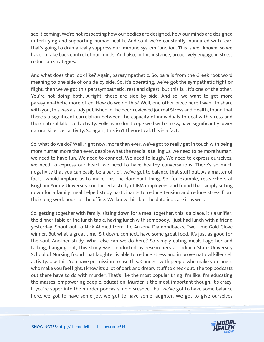see it coming. We're not respecting how our bodies are designed, how our minds are designed in fortifying and supporting human health. And so if we're constantly inundated with fear, that's going to dramatically suppress our immune system function. This is well known, so we have to take back control of our minds. And also, in this instance, proactively engage in stress reduction strategies.

And what does that look like? Again, parasympathetic. So, para is from the Greek root word meaning to one side of or side by side. So, it's operating, we've got the sympathetic fight or flight, then we've got this parasympathetic, rest and digest, but this is... It's one or the other. You're not doing both. Alright, these are side by side. And so, we want to get more parasympathetic more often. How do we do this? Well, one other piece here I want to share with you, this was a study published in the peer-reviewed journal Stress and Health, found that there's a significant correlation between the capacity of individuals to deal with stress and their natural killer cell activity. Folks who don't cope well with stress, have significantly lower natural killer cell activity. So again, this isn't theoretical, this is a fact.

So, what do we do? Well, right now, more than ever, we've got to really get in touch with being more human more than ever, despite what the media is telling us, we need to be more human, we need to have fun. We need to connect. We need to laugh. We need to express ourselves; we need to express our heart, we need to have healthy conversations. There's so much negativity that you can easily be a part of, we've got to balance that stuff out. As a matter of fact, I would implore us to make this the dominant thing. So, for example, researchers at Brigham Young University conducted a study of IBM employees and found that simply sitting down for a family meal helped study participants to reduce tension and reduce stress from their long work hours at the office. We know this, but the data indicate it as well.

So, getting together with family, sitting down for a meal together, this is a place, it's a unifier, the dinner table or the lunch table, having lunch with somebody. I just had lunch with a friend yesterday. Shout out to Nick Ahmed from the Arizona Diamondbacks. Two-time Gold Glove winner. But what a great time. Sit down, connect, have some great food. It's just as good for the soul. Another study. What else can we do here? So simply eating meals together and talking, hanging out, this study was conducted by researchers at Indiana State University School of Nursing found that laughter is able to reduce stress and improve natural killer cell activity. Use this. You have permission to use this. Connect with people who make you laugh, who make you feel light. I know it's a lot of dark and dreary stuff to check out. The top podcasts out there have to do with murder. That's like the most popular thing. I'm like, I'm educating the masses, empowering people, education. Murder is the most important though. It's crazy. If you're super into the murder podcasts, no disrespect, but we've got to have some balance here, we got to have some joy, we got to have some laughter. We got to give ourselves

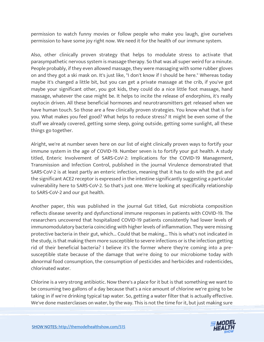permission to watch funny movies or follow people who make you laugh, give ourselves permission to have some joy right now. We need it for the health of our immune system.

Also, other clinically proven strategy that helps to modulate stress to activate that parasympathetic nervous system is massage therapy. So that was all super weird for a minute. People probably, if they even allowed massage, they were massaging with some rubber gloves on and they got a ski mask on. It's just like, "I don't know if I should be here." Whereas today maybe it's changed a little bit, but you can get a private massage at the crib, if you've got maybe your significant other, you got kids, they could do a nice little foot massage, hand massage, whatever the case might be. It helps to incite the release of endorphins, it's really oxytocin driven. All these beneficial hormones and neurotransmitters get released when we have human touch. So those are a few clinically proven strategies. You know what that is for you. What makes you feel good? What helps to reduce stress? It might be even some of the stuff we already covered, getting some sleep, going outside, getting some sunlight, all these things go together.

Alright, we're at number seven here on our list of eight clinically proven ways to fortify your immune system in the age of COVID-19. Number seven is to fortify your gut health. A study titled, Enteric Involvement of SARS-CoV-2: Implications for the COVID-19 Management, Transmission and Infection Control, published in the journal Virulence demonstrated that SARS-CoV-2 is at least partly an enteric infection, meaning that it has to do with the gut and the significant ACE2 receptor is expressed in the intestine significantly suggesting a particular vulnerability here to SARS-CoV-2. So that's just one. We're looking at specifically relationship to SARS-CoV-2 and our gut health.

Another paper, this was published in the journal Gut titled, Gut microbiota composition reflects disease severity and dysfunctional immune responses in patients with COVID-19. The researchers uncovered that hospitalized COVID-19 patients consistently had lower levels of immunomodulatory bacteria coinciding with higher levels of inflammation. They were missing protective bacteria in their gut, which... Could that be making... This is what's not indicated in the study, is that making them more susceptible to severe infections or is the infection getting rid of their beneficial bacteria? I believe it's the former where they're coming into a presusceptible state because of the damage that we're doing to our microbiome today with abnormal food consumption, the consumption of pesticides and herbicides and rodenticides, chlorinated water.

Chlorine is a very strong antibiotic. Now there's a place for it but is that something we want to be consuming two gallons of a day because that's a nice amount of chlorine we're going to be taking in if we're drinking typical tap water. So, getting a water filter that is actually effective. We've done masterclasses on water, by the way. This is not the time for it, but just making sure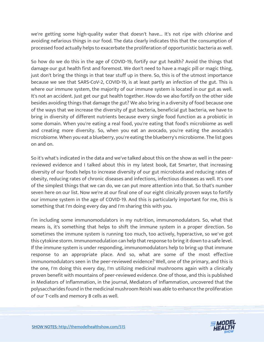we're getting some high-quality water that doesn't have... It's not ripe with chlorine and avoiding nefarious things in our food. The data clearly indicates this that the consumption of processed food actually helps to exacerbate the proliferation of opportunistic bacteria as well.

So how do we do this in the age of COVID-19, fortify our gut health? Avoid the things that damage our gut health first and foremost. We don't need to have a magic pill or magic thing, just don't bring the things in that tear stuff up in there. So, this is of the utmost importance because we see that SARS-CoV-2, COVID-19, is at least partly an infection of the gut. This is where our immune system, the majority of our immune system is located in our gut as well. It's not an accident. Just get our gut health together. How do we also fortify on the other side besides avoiding things that damage the gut? We also bring in a diversity of food because one of the ways that we increase the diversity of gut bacteria, beneficial gut bacteria, we have to bring in diversity of different nutrients because every single food function as a probiotic in some domain. When you're eating a real food, you're eating that food's microbiome as well and creating more diversity. So, when you eat an avocado, you're eating the avocado's microbiome. When you eat a blueberry, you're eating the blueberry's microbiome. The list goes on and on.

So it's what's indicated in the data and we've talked about this on the show as well in the peerreviewed evidence and I talked about this in my latest book, Eat Smarter, that increasing diversity of our foods helps to increase diversity of our gut microbiota and reducing rates of obesity, reducing rates of chronic diseases and infections, infectious diseases as well. It's one of the simplest things that we can do, we can put more attention into that. So that's number seven here on our list. Now we're at our final one of our eight clinically proven ways to fortify our immune system in the age of COVID-19. And this is particularly important for me, this is something that I'm doing every day and I'm sharing this with you.

I'm including some immunomodulators in my nutrition, immunomodulators. So, what that means is, it's something that helps to shift the immune system in a proper direction. So sometimes the immune system is running too much, too actively, hyperactive, so we've got this cytokine storm. Immunomodulation can help that response to bring it down to a safe level. If the immune system is under responding, immunomodulators help to bring up that immune response to an appropriate place. And so, what are some of the most effective immunomodulators seen in the peer-reviewed evidence? Well, one of the primary, and this is the one, I'm doing this every day, I'm utilizing medicinal mushrooms again with a clinically proven benefit with mountains of peer-reviewed evidence. One of those, and this is published in Mediators of Inflammation, in the journal, Mediators of Inflammation, uncovered that the polysaccharides found in the medicinal mushroom Reishi was able to enhance the proliferation of our T-cells and memory B cells as well.

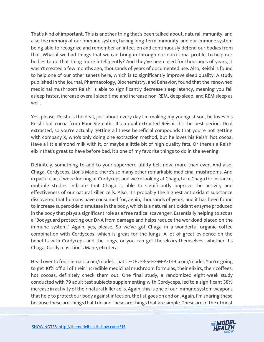That's kind of important. This is another thing that's been talked about, natural immunity, and also the memory of our immune system, having long-term immunity, and our immune system being able to recognize and remember an infection and continuously defend our bodies from that. What if we had things that we can bring in through our nutritional profile, to help our bodies to do that thing more intelligently? And they've been used for thousands of years, it wasn't created a few months ago, thousands of years of documented use. Also, Reishi is found to help one of our other tenets here, which is to significantly improve sleep quality. A study published in the Journal, Pharmacology, Biochemistry, and Behavior, found that the renowned medicinal mushroom Reishi is able to significantly decrease sleep latency, meaning you fall asleep faster, increase overall sleep time and increase non-REM, deep sleep, and REM sleep as well.

Yes, please. Reishi is the deal, just about every day I'm making my youngest son, he loves his Reishi hot cocoa from Four Sigmatic. It's a dual extracted Reishi, it's the best period. Dual extracted, so you're actually getting all these beneficial compounds that you're not getting with company X, who's only doing one extraction method, but he loves his Reishi hot cocoa. Have a little almond milk with it, or maybe a little bit of high-quality fats. Or there's a Reishi elixir that's great to have before bed, it's one of my favorite things to do in the evening.

Definitely, something to add to your superhero utility belt now, more than ever. And also, Chaga, Cordyceps, Lion's Mane, there's so many other remarkable medicinal mushrooms. And in particular, if we're looking at Cordyceps and we're looking at Chaga, take Chaga for instance, multiple studies indicate that Chaga is able to significantly improve the activity and effectiveness of our natural killer cells. Also, it's probably the highest antioxidant substance discovered that humans have consumed for, again, thousands of years, and it has been found to increase superoxide dismutase in the body, which is a natural antioxidant enzyme produced in the body that plays a significant role as a free radical scavenger. Essentially helping to act as a "Bodyguard protecting our DNA from damage and helps reduce the workload placed on the immune system." Again, yes, please. So we've got Chaga in a wonderful organic coffee combination with Cordyceps, which is great for the lungs. A lot of great evidence on the benefits with Cordyceps and the lungs, or you can get the elixirs themselves, whether it's Chaga, Cordyceps, Lion's Mane, etcetera.

Head over to foursigmatic.com/model. That's F-O-U-R-S-I-G-M-A-T-I-C.com/model. You're going to get 10% off all of their incredible medicinal mushroom formulas, their elixirs, their coffees, hot cocoas, definitely check them out. One final study, a randomized eight-week study conducted with 79 adult test subjects supplementing with Cordyceps, led to a significant 38% increase in activity of their natural killer cells. Again, this is one of our immune system weapons that help to protect our body against infection, the list goes on and on. Again, I'm sharing these because these are things that I do and these are things that are simple. These are of the utmost